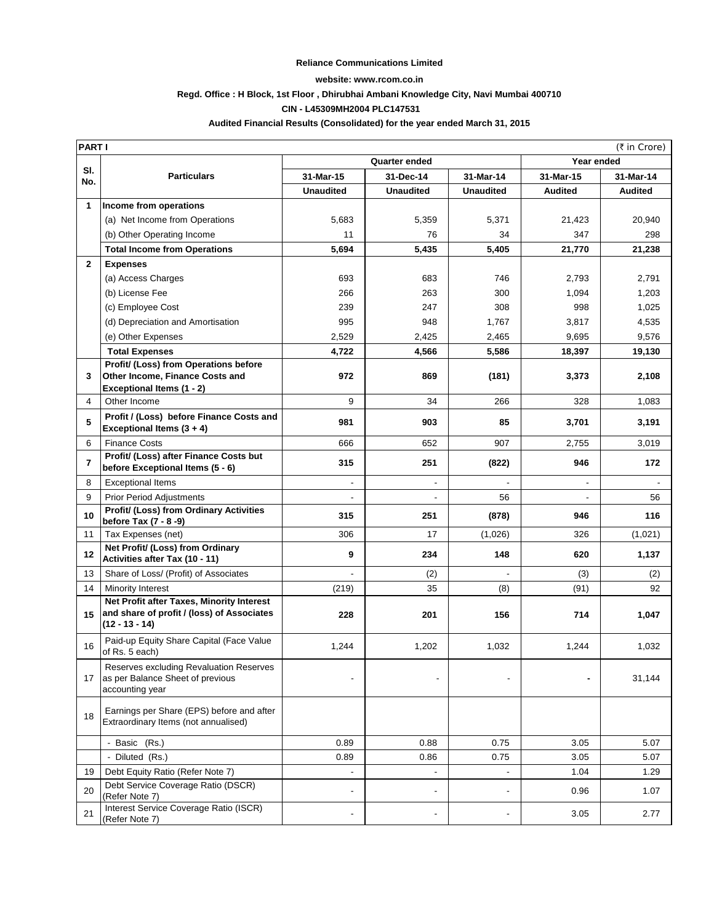#### **Reliance Communications Limited**

#### **website: www.rcom.co.in**

### **Regd. Office : H Block, 1st Floor , Dhirubhai Ambani Knowledge City, Navi Mumbai 400710**

### **CIN - L45309MH2004 PLC147531**

### **Audited Financial Results (Consolidated) for the year ended March 31, 2015**

|                | <b>PARTI</b><br>(₹ in Crore)                                                                                |                          |                          |                          |           |                |  |
|----------------|-------------------------------------------------------------------------------------------------------------|--------------------------|--------------------------|--------------------------|-----------|----------------|--|
|                |                                                                                                             | Quarter ended            |                          |                          |           | Year ended     |  |
| SI.<br>No.     | <b>Particulars</b>                                                                                          | 31-Mar-15                | 31-Dec-14                | 31-Mar-14                | 31-Mar-15 | 31-Mar-14      |  |
|                |                                                                                                             | <b>Unaudited</b>         | <b>Unaudited</b>         | <b>Unaudited</b>         | Audited   | <b>Audited</b> |  |
| 1              | Income from operations                                                                                      |                          |                          |                          |           |                |  |
|                | (a) Net Income from Operations                                                                              | 5,683                    | 5,359                    | 5,371                    | 21,423    | 20,940         |  |
|                | (b) Other Operating Income                                                                                  | 11                       | 76                       | 34                       | 347       | 298            |  |
|                | <b>Total Income from Operations</b>                                                                         | 5,694                    | 5,435                    | 5,405                    | 21,770    | 21,238         |  |
| $\mathbf{2}$   | <b>Expenses</b>                                                                                             |                          |                          |                          |           |                |  |
|                | (a) Access Charges                                                                                          | 693                      | 683                      | 746                      | 2,793     | 2,791          |  |
|                | (b) License Fee                                                                                             | 266                      | 263                      | 300                      | 1,094     | 1,203          |  |
|                | (c) Employee Cost                                                                                           | 239                      | 247                      | 308                      | 998       | 1,025          |  |
|                | (d) Depreciation and Amortisation                                                                           | 995                      | 948                      | 1,767                    | 3,817     | 4,535          |  |
|                | (e) Other Expenses                                                                                          | 2,529                    | 2,425                    | 2,465                    | 9,695     | 9,576          |  |
|                | <b>Total Expenses</b>                                                                                       | 4,722                    | 4,566                    | 5,586                    | 18,397    | 19,130         |  |
|                | Profit/ (Loss) from Operations before                                                                       |                          |                          |                          |           |                |  |
| 3              | Other Income, Finance Costs and                                                                             | 972                      | 869                      | (181)                    | 3,373     | 2,108          |  |
| $\overline{4}$ | Exceptional Items (1 - 2)<br>Other Income                                                                   | 9                        | 34                       | 266                      | 328       | 1,083          |  |
|                |                                                                                                             |                          |                          |                          |           |                |  |
| 5              | Profit / (Loss) before Finance Costs and<br>Exceptional Items $(3 + 4)$                                     | 981                      | 903                      | 85                       | 3,701     | 3,191          |  |
| 6              | <b>Finance Costs</b>                                                                                        | 666                      | 652                      | 907                      | 2,755     | 3,019          |  |
| 7              | Profit/ (Loss) after Finance Costs but<br>before Exceptional Items (5 - 6)                                  | 315                      | 251                      | (822)                    | 946       | 172            |  |
| 8              | <b>Exceptional Items</b>                                                                                    |                          | $\overline{\phantom{a}}$ |                          |           |                |  |
| 9              | <b>Prior Period Adjustments</b>                                                                             |                          | $\overline{\phantom{a}}$ | 56                       |           | 56             |  |
| 10             | Profit/ (Loss) from Ordinary Activities<br>before Tax (7 - 8 -9)                                            | 315                      | 251                      | (878)                    | 946       | 116            |  |
| 11             | Tax Expenses (net)                                                                                          | 306                      | 17                       | (1,026)                  | 326       | (1,021)        |  |
| 12             | Net Profit/ (Loss) from Ordinary<br>Activities after Tax (10 - 11)                                          | 9                        | 234                      | 148                      | 620       | 1,137          |  |
| 13             | Share of Loss/ (Profit) of Associates                                                                       |                          | (2)                      |                          | (3)       | (2)            |  |
| 14             | Minority Interest                                                                                           | (219)                    | 35                       | (8)                      | (91)      | 92             |  |
| 15             | Net Profit after Taxes, Minority Interest<br>and share of profit / (loss) of Associates<br>$(12 - 13 - 14)$ | 228                      | 201                      | 156                      | 714       | 1,047          |  |
| 16             | Paid-up Equity Share Capital (Face Value<br>of Rs. 5 each)                                                  | 1,244                    | 1,202                    | 1,032                    | 1,244     | 1,032          |  |
| 17             | Reserves excluding Revaluation Reserves<br>as per Balance Sheet of previous<br>accounting year              |                          |                          |                          |           | 31,144         |  |
| 18             | Earnings per Share (EPS) before and after<br>Extraordinary Items (not annualised)                           |                          |                          |                          |           |                |  |
|                | - Basic (Rs.)                                                                                               | 0.89                     | 0.88                     | 0.75                     | 3.05      | 5.07           |  |
|                | - Diluted (Rs.)                                                                                             | 0.89                     | 0.86                     | 0.75                     | 3.05      | 5.07           |  |
| 19             | Debt Equity Ratio (Refer Note 7)                                                                            |                          | $\overline{\phantom{a}}$ | $\overline{\phantom{a}}$ | 1.04      | 1.29           |  |
| 20             | Debt Service Coverage Ratio (DSCR)<br>(Refer Note 7)                                                        | $\overline{\phantom{a}}$ | $\overline{\phantom{a}}$ | $\frac{1}{2}$            | 0.96      | 1.07           |  |
| 21             | Interest Service Coverage Ratio (ISCR)<br>(Refer Note 7)                                                    |                          |                          | ۰                        | 3.05      | 2.77           |  |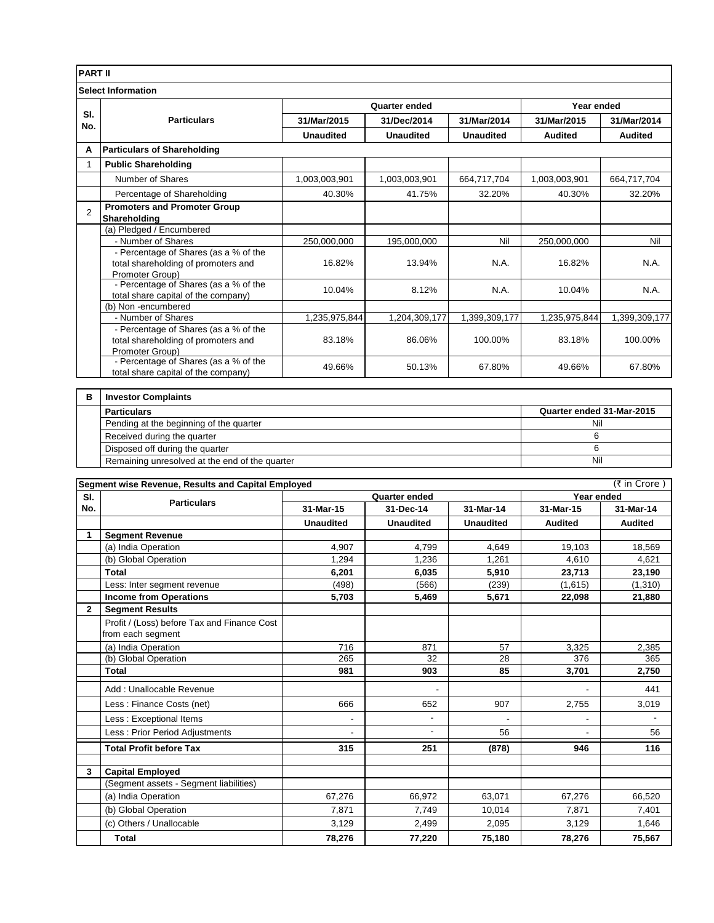| <b>PART II</b>                                 |                                                                                                 |                                                      |                          |                                      |                           |                |  |
|------------------------------------------------|-------------------------------------------------------------------------------------------------|------------------------------------------------------|--------------------------|--------------------------------------|---------------------------|----------------|--|
|                                                | <b>Select Information</b>                                                                       |                                                      |                          |                                      |                           |                |  |
|                                                |                                                                                                 |                                                      | Quarter ended            |                                      | Year ended                |                |  |
| SI.                                            | <b>Particulars</b>                                                                              | 31/Mar/2015                                          | 31/Dec/2014              | 31/Mar/2014                          | 31/Mar/2015               | 31/Mar/2014    |  |
| No.                                            |                                                                                                 | <b>Unaudited</b>                                     | <b>Unaudited</b>         | <b>Unaudited</b>                     | <b>Audited</b>            | <b>Audited</b> |  |
| A                                              | <b>Particulars of Shareholding</b>                                                              |                                                      |                          |                                      |                           |                |  |
| $\mathbf{1}$                                   | <b>Public Shareholding</b>                                                                      |                                                      |                          |                                      |                           |                |  |
|                                                | Number of Shares                                                                                | 1,003,003,901                                        | 1,003,003,901            | 664,717,704                          | 1,003,003,901             | 664,717,704    |  |
|                                                | Percentage of Shareholding                                                                      | 40.30%                                               | 41.75%                   | 32.20%                               | 40.30%                    | 32.20%         |  |
|                                                | <b>Promoters and Promoter Group</b>                                                             |                                                      |                          |                                      |                           |                |  |
| $\overline{2}$                                 | Shareholding                                                                                    |                                                      |                          |                                      |                           |                |  |
|                                                | (a) Pledged / Encumbered                                                                        |                                                      |                          |                                      |                           |                |  |
|                                                | - Number of Shares                                                                              | 250,000,000                                          | 195,000,000              | Nil                                  | 250,000,000               | Nil            |  |
|                                                | - Percentage of Shares (as a % of the<br>total shareholding of promoters and<br>Promoter Group) | 16.82%                                               | 13.94%                   | N.A.                                 | 16.82%                    | N.A.           |  |
|                                                | - Percentage of Shares (as a % of the                                                           |                                                      |                          |                                      |                           |                |  |
|                                                | total share capital of the company)                                                             | 10.04%                                               | 8.12%                    | N.A.                                 | 10.04%                    | N.A.           |  |
|                                                | (b) Non -encumbered                                                                             |                                                      |                          |                                      |                           |                |  |
|                                                | - Number of Shares<br>- Percentage of Shares (as a % of the                                     | 1,235,975,844                                        | 1,204,309,177            | 1,399,309,177                        | 1,235,975,844             | 1,399,309,177  |  |
|                                                | total shareholding of promoters and<br>Promoter Group)                                          | 83.18%                                               | 86.06%                   | 100.00%                              | 83.18%                    | 100.00%        |  |
|                                                | - Percentage of Shares (as a % of the<br>total share capital of the company)                    | 49.66%                                               | 50.13%                   | 67.80%                               | 49.66%                    | 67.80%         |  |
|                                                |                                                                                                 |                                                      |                          |                                      |                           |                |  |
| в                                              | <b>Investor Complaints</b>                                                                      |                                                      |                          |                                      |                           |                |  |
|                                                | <b>Particulars</b>                                                                              |                                                      |                          |                                      | Quarter ended 31-Mar-2015 |                |  |
| Pending at the beginning of the quarter        |                                                                                                 |                                                      |                          |                                      | 6                         | Nil            |  |
|                                                | Received during the quarter<br>Disposed off during the quarter                                  | 6                                                    |                          |                                      |                           |                |  |
| Remaining unresolved at the end of the quarter |                                                                                                 |                                                      |                          |                                      | Nil                       |                |  |
|                                                |                                                                                                 |                                                      |                          |                                      |                           |                |  |
|                                                | Segment wise Revenue, Results and Capital Employed                                              | (₹ in Crore)                                         |                          |                                      |                           |                |  |
| SI.<br>No.                                     | <b>Particulars</b>                                                                              | Quarter ended<br>31-Mar-15<br>31-Dec-14<br>31-Mar-14 |                          | Year ended<br>31-Mar-15<br>31-Mar-14 |                           |                |  |
|                                                |                                                                                                 | <b>Unaudited</b>                                     | <b>Unaudited</b>         | <b>Unaudited</b>                     | <b>Audited</b>            | <b>Audited</b> |  |
| 1                                              | <b>Segment Revenue</b>                                                                          |                                                      |                          |                                      |                           |                |  |
|                                                | (a) India Operation                                                                             | 4,907                                                | 4,799                    | 4,649                                | 19,103                    | 18,569         |  |
|                                                | (b) Global Operation                                                                            | 1,294                                                | 1,236                    | 1,261                                | 4,610                     | 4,621          |  |
|                                                | Total                                                                                           | 6,201                                                | 6,035                    | 5,910                                | 23,713                    | 23,190         |  |
|                                                | Less: Inter seament revenue                                                                     | (498)                                                | (566)                    | (239)                                | (1,615)                   | (1, 310)       |  |
|                                                | <b>Income from Operations</b>                                                                   | 5,703                                                | 5,469                    | 5,671                                | 22,098                    | 21,880         |  |
| $\mathbf{2}$                                   | <b>Segment Results</b><br>Profit / (Loss) before Tax and Finance Cost<br>from each segment      |                                                      |                          |                                      |                           |                |  |
|                                                | (a) India Operation                                                                             | 716                                                  | 871                      | 57                                   | 3,325                     | 2,385          |  |
|                                                | (b) Global Operation                                                                            | 265                                                  | 32                       | 28                                   | 376                       | 365            |  |
|                                                | Total                                                                                           | 981                                                  | 903                      | 85                                   | 3,701                     | 2,750          |  |
|                                                | Add: Unallocable Revenue                                                                        |                                                      |                          |                                      |                           | 441            |  |
|                                                | Less: Finance Costs (net)                                                                       | 666                                                  | 652                      | 907                                  | 2,755                     | 3,019          |  |
|                                                | Less: Exceptional Items                                                                         | $\overline{\phantom{a}}$                             | $\overline{\phantom{a}}$ |                                      |                           |                |  |
|                                                | Less: Prior Period Adjustments                                                                  | ÷,                                                   | $\blacksquare$           | 56                                   |                           | 56             |  |
|                                                | <b>Total Profit before Tax</b>                                                                  | 315                                                  | 251                      | (878)                                | 946                       | 116            |  |
| 3                                              | <b>Capital Employed</b>                                                                         |                                                      |                          |                                      |                           |                |  |
|                                                | (Segment assets - Segment liabilities)                                                          |                                                      |                          |                                      |                           |                |  |
|                                                | (a) India Operation                                                                             | 67,276                                               | 66,972                   | 63,071                               | 67,276                    | 66,520         |  |
|                                                | (b) Global Operation                                                                            | 7,871                                                | 7,749                    | 10,014                               | 7,871                     | 7,401          |  |
|                                                | (c) Others / Unallocable                                                                        | 3,129                                                | 2,499                    | 2,095                                | 3,129                     | 1,646          |  |
|                                                | <b>Total</b>                                                                                    | 78,276                                               | 77,220                   | 75,180                               | 78,276                    | 75,567         |  |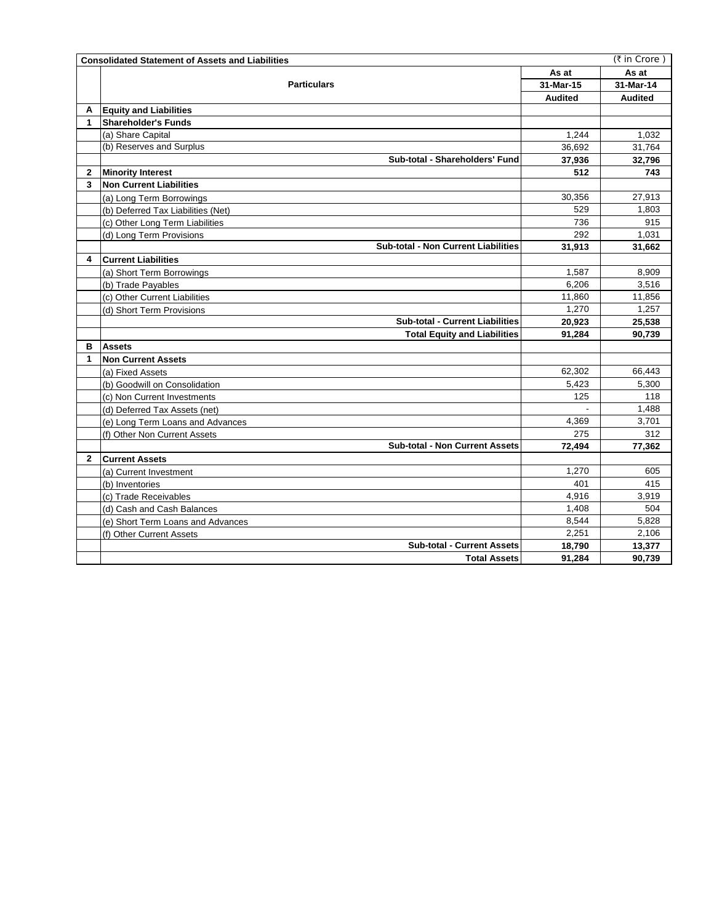|              | (₹ in Crore)<br><b>Consolidated Statement of Assets and Liabilities</b> |                |                |  |  |  |
|--------------|-------------------------------------------------------------------------|----------------|----------------|--|--|--|
|              |                                                                         | As at          | As at          |  |  |  |
|              | <b>Particulars</b>                                                      | 31-Mar-15      | 31-Mar-14      |  |  |  |
|              |                                                                         | <b>Audited</b> | <b>Audited</b> |  |  |  |
| A            | <b>Equity and Liabilities</b>                                           |                |                |  |  |  |
| 1            | <b>Shareholder's Funds</b>                                              |                |                |  |  |  |
|              | (a) Share Capital                                                       | 1.244          | 1.032          |  |  |  |
|              | (b) Reserves and Surplus                                                | 36,692         | 31,764         |  |  |  |
|              | Sub-total - Shareholders' Fund                                          | 37,936         | 32,796         |  |  |  |
| $\mathbf{2}$ | <b>Minority Interest</b>                                                | 512            | 743            |  |  |  |
| 3            | <b>Non Current Liabilities</b>                                          |                |                |  |  |  |
|              | (a) Long Term Borrowings                                                | 30,356         | 27,913         |  |  |  |
|              | (b) Deferred Tax Liabilities (Net)                                      | 529            | 1,803          |  |  |  |
|              | (c) Other Long Term Liabilities                                         | 736            | 915            |  |  |  |
|              | (d) Long Term Provisions                                                | 292            | 1,031          |  |  |  |
|              | Sub-total - Non Current Liabilities                                     | 31,913         | 31,662         |  |  |  |
| 4            | <b>Current Liabilities</b>                                              |                |                |  |  |  |
|              | (a) Short Term Borrowings                                               | 1,587          | 8,909          |  |  |  |
|              | (b) Trade Payables                                                      | 6,206          | 3,516          |  |  |  |
|              | (c) Other Current Liabilities                                           | 11,860         | 11,856         |  |  |  |
|              | (d) Short Term Provisions                                               | 1.270          | 1.257          |  |  |  |
|              | <b>Sub-total - Current Liabilities</b>                                  | 20,923         | 25,538         |  |  |  |
|              | <b>Total Equity and Liabilities</b>                                     | 91,284         | 90,739         |  |  |  |
| в            | <b>Assets</b>                                                           |                |                |  |  |  |
| 1            | <b>Non Current Assets</b>                                               |                |                |  |  |  |
|              | (a) Fixed Assets                                                        | 62,302         | 66,443         |  |  |  |
|              | (b) Goodwill on Consolidation                                           | 5,423          | 5,300          |  |  |  |
|              | (c) Non Current Investments                                             | 125            | 118            |  |  |  |
|              | (d) Deferred Tax Assets (net)                                           |                | 1,488          |  |  |  |
|              | (e) Long Term Loans and Advances                                        | 4.369          | 3,701          |  |  |  |
|              | (f) Other Non Current Assets                                            | 275            | 312            |  |  |  |
|              | <b>Sub-total - Non Current Assets</b>                                   | 72,494         | 77,362         |  |  |  |
| $\mathbf{2}$ | <b>Current Assets</b>                                                   |                |                |  |  |  |
|              | (a) Current Investment                                                  | 1,270          | 605            |  |  |  |
|              | (b) Inventories                                                         | 401            | 415            |  |  |  |
|              | (c) Trade Receivables                                                   | 4,916          | 3,919          |  |  |  |
|              | (d) Cash and Cash Balances                                              | 1,408          | 504            |  |  |  |
|              | (e) Short Term Loans and Advances                                       | 8,544          | 5,828          |  |  |  |
|              | (f) Other Current Assets                                                | 2,251          | 2,106          |  |  |  |
|              | <b>Sub-total - Current Assets</b>                                       | 18,790         | 13,377         |  |  |  |
|              | <b>Total Assets</b>                                                     | 91,284         | 90,739         |  |  |  |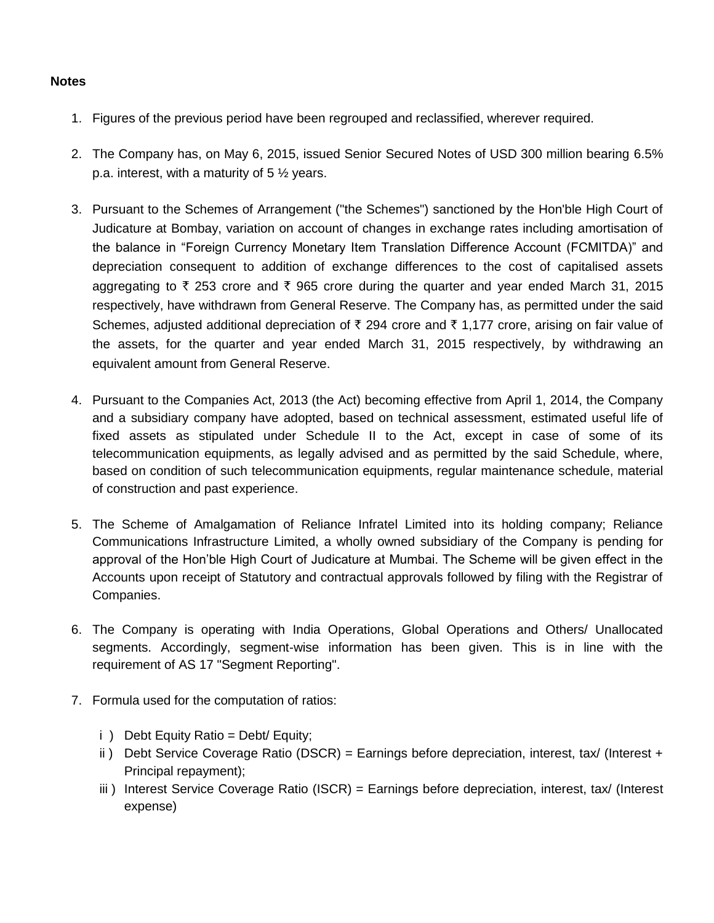## **Notes**

- 1. Figures of the previous period have been regrouped and reclassified, wherever required.
- 2. The Company has, on May 6, 2015, issued Senior Secured Notes of USD 300 million bearing 6.5% p.a. interest, with a maturity of 5 ½ years.
- 3. Pursuant to the Schemes of Arrangement ("the Schemes") sanctioned by the Hon'ble High Court of Judicature at Bombay, variation on account of changes in exchange rates including amortisation of the balance in "Foreign Currency Monetary Item Translation Difference Account (FCMITDA)" and depreciation consequent to addition of exchange differences to the cost of capitalised assets aggregating to  $\bar{\zeta}$  253 crore and  $\bar{\zeta}$  965 crore during the guarter and year ended March 31, 2015 respectively, have withdrawn from General Reserve. The Company has, as permitted under the said Schemes, adjusted additional depreciation of  $\bar{\tau}$  294 crore and  $\bar{\tau}$  1,177 crore, arising on fair value of the assets, for the quarter and year ended March 31, 2015 respectively, by withdrawing an equivalent amount from General Reserve.
- 4. Pursuant to the Companies Act, 2013 (the Act) becoming effective from April 1, 2014, the Company and a subsidiary company have adopted, based on technical assessment, estimated useful life of fixed assets as stipulated under Schedule II to the Act, except in case of some of its telecommunication equipments, as legally advised and as permitted by the said Schedule, where, based on condition of such telecommunication equipments, regular maintenance schedule, material of construction and past experience.
- 5. The Scheme of Amalgamation of Reliance Infratel Limited into its holding company; Reliance Communications Infrastructure Limited, a wholly owned subsidiary of the Company is pending for approval of the Hon'ble High Court of Judicature at Mumbai. The Scheme will be given effect in the Accounts upon receipt of Statutory and contractual approvals followed by filing with the Registrar of Companies.
- 6. The Company is operating with India Operations, Global Operations and Others/ Unallocated segments. Accordingly, segment-wise information has been given. This is in line with the requirement of AS 17 "Segment Reporting".
- 7. Formula used for the computation of ratios:
	- i ) Debt Equity Ratio = Debt/ Equity;
	- ii) Debt Service Coverage Ratio (DSCR) = Earnings before depreciation, interest, tax/ (Interest + Principal repayment);
	- iii ) Interest Service Coverage Ratio (ISCR) = Earnings before depreciation, interest, tax/ (Interest expense)